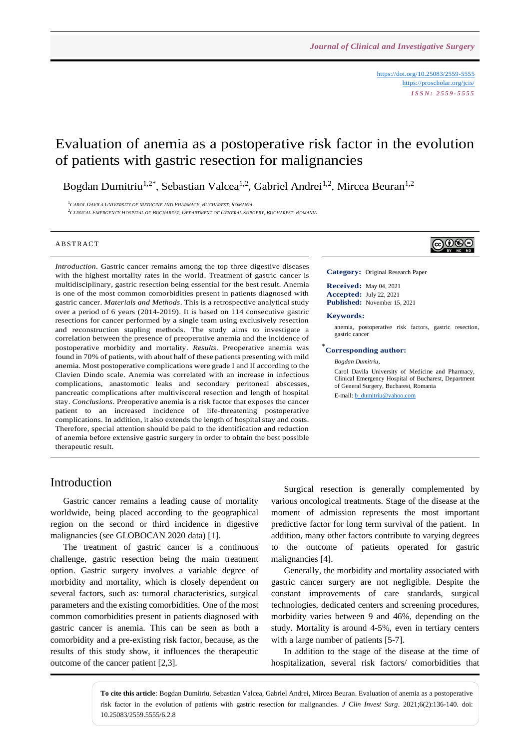<https://doi.org/10.25083/2559-5555> <https://proscholar.org/jcis/> *I S S N : 2 5 5 9 - 5 5 5 5*

# Evaluation of anemia as a postoperative risk factor in the evolution of patients with gastric resection for malignancies

Bogdan Dumitriu<sup>1,2\*</sup>, Sebastian Valcea<sup>1,2</sup>, Gabriel Andrei<sup>1,2</sup>, Mircea Beuran<sup>1,2</sup>

<sup>1</sup>*CAROL DAVILA UNIVERSITY OF MEDICINE AND PHARMACY, BUCHAREST, ROMANIA*  $^2$ CLINICAL EMERGENCY HOSPITAL OF BUCHAREST, DEPARTMENT OF GENERAL SURGERY, BUCHAREST, ROMANIA

#### **ABSTRACT**

*Introduction*. Gastric cancer remains among the top three digestive diseases with the highest mortality rates in the world. Treatment of gastric cancer is multidisciplinary, gastric resection being essential for the best result. Anemia is one of the most common comorbidities present in patients diagnosed with gastric cancer. *Materials and Methods*. This is a retrospective analytical study over a period of 6 years (2014-2019). It is based on 114 consecutive gastric resections for cancer performed by a single team using exclusively resection and reconstruction stapling methods. The study aims to investigate a correlation between the presence of preoperative anemia and the incidence of postoperative morbidity and mortality. *Results*. Preoperative anemia was found in 70% of patients, with about half of these patients presenting with mild anemia. Most postoperative complications were grade I and II according to the Clavien Dindo scale. Anemia was correlated with an increase in infectious complications, anastomotic leaks and secondary peritoneal abscesses, pancreatic complications after multivisceral resection and length of hospital stay. *Conclusions*. Preoperative anemia is a risk factor that exposes the cancer patient to an increased incidence of life-threatening postoperative complications. In addition, it also extends the length of hospital stay and costs. Therefore, special attention should be paid to the identification and reduction of anemia before extensive gastric surgery in order to obtain the best possible therapeutic result.

## ∣ଢ⊕®

**Category:** Original Research Paper

**Received:** May 04, 2021 **Accepted:** July 22, 2021 **Published:** November 15, 2021

#### **Keywords:**

anemia, postoperative risk factors, gastric resection, gastric cancer

#### \* **Corresponding author:**

*Bogdan Dumitriu,*

Carol Davila University of Medicine and Pharmacy, Clinical Emergency Hospital of Bucharest, Department of General Surgery, Bucharest, Romania E-mail: [b\\_dumitriu@yahoo.com](mailto:b_dumitriu@yahoo.com)

#### Introduction

Gastric cancer remains a leading cause of mortality worldwide, being placed according to the geographical region on the second or third incidence in digestive malignancies (see GLOBOCAN 2020 data) [1].

The treatment of gastric cancer is a continuous challenge, gastric resection being the main treatment option. Gastric surgery involves a variable degree of morbidity and mortality, which is closely dependent on several factors, such as: tumoral characteristics, surgical parameters and the existing comorbidities. One of the most common comorbidities present in patients diagnosed with gastric cancer is anemia. This can be seen as both a comorbidity and a pre-existing risk factor, because, as the results of this study show, it influences the therapeutic outcome of the cancer patient [2,3].

Surgical resection is generally complemented by various oncological treatments. Stage of the disease at the moment of admission represents the most important predictive factor for long term survival of the patient. In addition, many other factors contribute to varying degrees to the outcome of patients operated for gastric malignancies [4].

Generally, the morbidity and mortality associated with gastric cancer surgery are not negligible. Despite the constant improvements of care standards, surgical technologies, dedicated centers and screening procedures, morbidity varies between 9 and 46%, depending on the study. Mortality is around 4-5%, even in tertiary centers with a large number of patients [5-7].

In addition to the stage of the disease at the time of hospitalization, several risk factors/ comorbidities that

**To cite this article**: Bogdan Dumitriu, Sebastian Valcea, Gabriel Andrei, Mircea Beuran. Evaluation of anemia as a postoperative risk factor in the evolution of patients with gastric resection for malignancies. *J Clin Invest Surg*. 2021;6(2):136-140. doi: 10.25083/2559.5555/6.2.8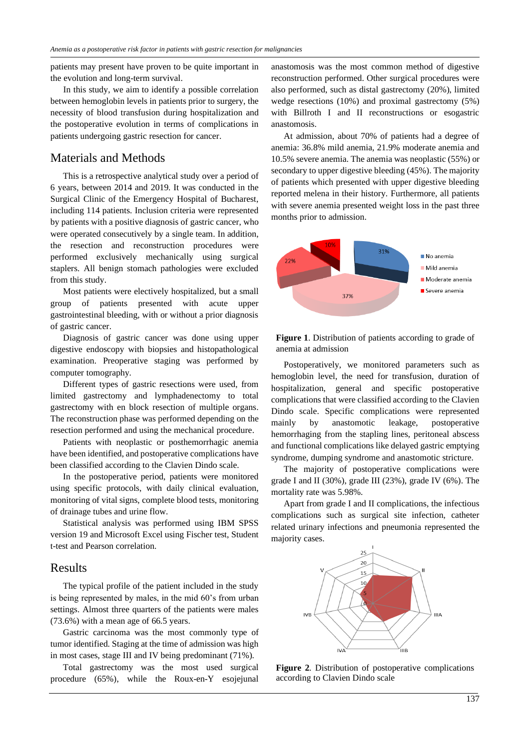patients may present have proven to be quite important in the evolution and long-term survival.

In this study, we aim to identify a possible correlation between hemoglobin levels in patients prior to surgery, the necessity of blood transfusion during hospitalization and the postoperative evolution in terms of complications in patients undergoing gastric resection for cancer.

#### Materials and Methods

This is a retrospective analytical study over a period of 6 years, between 2014 and 2019. It was conducted in the Surgical Clinic of the Emergency Hospital of Bucharest, including 114 patients. Inclusion criteria were represented by patients with a positive diagnosis of gastric cancer, who were operated consecutively by a single team. In addition, the resection and reconstruction procedures were performed exclusively mechanically using surgical staplers. All benign stomach pathologies were excluded from this study.

Most patients were electively hospitalized, but a small group of patients presented with acute upper gastrointestinal bleeding, with or without a prior diagnosis of gastric cancer.

Diagnosis of gastric cancer was done using upper digestive endoscopy with biopsies and histopathological examination. Preoperative staging was performed by computer tomography.

Different types of gastric resections were used, from limited gastrectomy and lymphadenectomy to total gastrectomy with en block resection of multiple organs. The reconstruction phase was performed depending on the resection performed and using the mechanical procedure.

Patients with neoplastic or posthemorrhagic anemia have been identified, and postoperative complications have been classified according to the Clavien Dindo scale.

In the postoperative period, patients were monitored using specific protocols, with daily clinical evaluation, monitoring of vital signs, complete blood tests, monitoring of drainage tubes and urine flow.

Statistical analysis was performed using IBM SPSS version 19 and Microsoft Excel using Fischer test, Student t-test and Pearson correlation.

#### Results

The typical profile of the patient included in the study is being represented by males, in the mid 60's from urban settings. Almost three quarters of the patients were males (73.6%) with a mean age of 66.5 years.

Gastric carcinoma was the most commonly type of tumor identified. Staging at the time of admission was high in most cases, stage III and IV being predominant (71%).

Total gastrectomy was the most used surgical procedure (65%), while the Roux-en-Y esojejunal

anastomosis was the most common method of digestive reconstruction performed. Other surgical procedures were also performed, such as distal gastrectomy (20%), limited wedge resections (10%) and proximal gastrectomy (5%) with Billroth I and II reconstructions or esogastric anastomosis.

At admission, about 70% of patients had a degree of anemia: 36.8% mild anemia, 21.9% moderate anemia and 10.5% severe anemia. The anemia was neoplastic (55%) or secondary to upper digestive bleeding (45%). The majority of patients which presented with upper digestive bleeding reported melena in their history. Furthermore, all patients with severe anemia presented weight loss in the past three months prior to admission.



**Figure 1**. Distribution of patients according to grade of anemia at admission

Postoperatively, we monitored parameters such as hemoglobin level, the need for transfusion, duration of hospitalization, general and specific postoperative complications that were classified according to the Clavien Dindo scale. Specific complications were represented mainly by anastomotic leakage, postoperative hemorrhaging from the stapling lines, peritoneal abscess and functional complications like delayed gastric emptying syndrome, dumping syndrome and anastomotic stricture.

The majority of postoperative complications were grade I and II (30%), grade III (23%), grade IV (6%). The mortality rate was 5.98%.

Apart from grade I and II complications, the infectious complications such as surgical site infection, catheter related urinary infections and pneumonia represented the majority cases.



**Figure 2**. Distribution of postoperative complications according to Clavien Dindo scale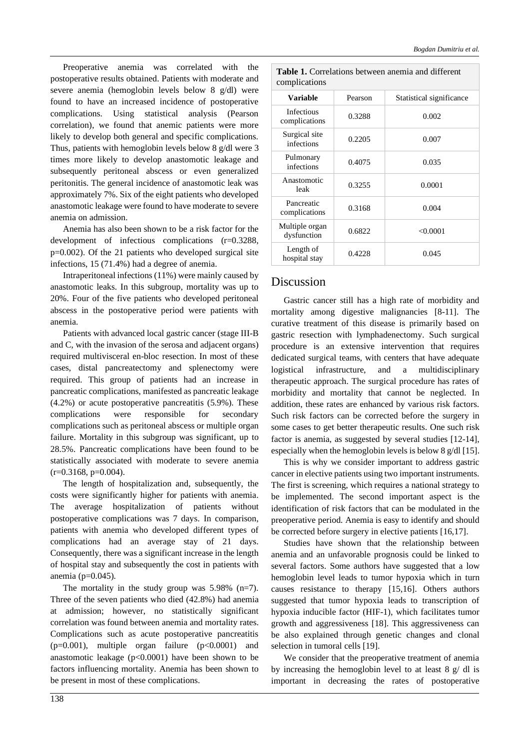Preoperative anemia was correlated with the postoperative results obtained. Patients with moderate and severe anemia (hemoglobin levels below 8 g/dl) were found to have an increased incidence of postoperative complications. Using statistical analysis (Pearson correlation), we found that anemic patients were more likely to develop both general and specific complications. Thus, patients with hemoglobin levels below 8 g/dl were 3 times more likely to develop anastomotic leakage and subsequently peritoneal abscess or even generalized peritonitis. The general incidence of anastomotic leak was approximately 7%. Six of the eight patients who developed anastomotic leakage were found to have moderate to severe anemia on admission.

Anemia has also been shown to be a risk factor for the development of infectious complications (r=0.3288, p=0.002). Of the 21 patients who developed surgical site infections, 15 (71.4%) had a degree of anemia.

Intraperitoneal infections (11%) were mainly caused by anastomotic leaks. In this subgroup, mortality was up to 20%. Four of the five patients who developed peritoneal abscess in the postoperative period were patients with anemia.

Patients with advanced local gastric cancer (stage III-B and C, with the invasion of the serosa and adjacent organs) required multivisceral en-bloc resection. In most of these cases, distal pancreatectomy and splenectomy were required. This group of patients had an increase in pancreatic complications, manifested as pancreatic leakage (4.2%) or acute postoperative pancreatitis (5.9%). These complications were responsible for secondary complications such as peritoneal abscess or multiple organ failure. Mortality in this subgroup was significant, up to 28.5%. Pancreatic complications have been found to be statistically associated with moderate to severe anemia  $(r=0.3168, p=0.004)$ .

The length of hospitalization and, subsequently, the costs were significantly higher for patients with anemia. The average hospitalization of patients without postoperative complications was 7 days. In comparison, patients with anemia who developed different types of complications had an average stay of 21 days. Consequently, there was a significant increase in the length of hospital stay and subsequently the cost in patients with anemia (p=0.045).

The mortality in the study group was  $5.98\%$  (n=7). Three of the seven patients who died (42.8%) had anemia at admission; however, no statistically significant correlation was found between anemia and mortality rates. Complications such as acute postoperative pancreatitis  $(p=0.001)$ , multiple organ failure  $(p<0.0001)$  and anastomotic leakage  $(p<0.0001)$  have been shown to be factors influencing mortality. Anemia has been shown to be present in most of these complications.

| <b>Table 1.</b> Correlations between anemia and different<br>complications |         |                          |
|----------------------------------------------------------------------------|---------|--------------------------|
| <b>Variable</b>                                                            | Pearson | Statistical significance |
| <b>Infectious</b><br>complications                                         | 0.3288  | 0.002                    |
| Surgical site<br>infections                                                | 0.2205  | 0.007                    |
| Pulmonary<br>infections                                                    | 0.4075  | 0.035                    |
| Anastomotic<br>leak                                                        | 0.3255  | 0.0001                   |
| Pancreatic<br>complications                                                | 0.3168  | 0.004                    |
| Multiple organ<br>dysfunction                                              | 0.6822  | < 0.0001                 |
| Length of<br>hospital stay                                                 | 0.4228  | 0.045                    |

#### Discussion

Gastric cancer still has a high rate of morbidity and mortality among digestive malignancies [8-11]. The curative treatment of this disease is primarily based on gastric resection with lymphadenectomy. Such surgical procedure is an extensive intervention that requires dedicated surgical teams, with centers that have adequate logistical infrastructure, and a multidisciplinary therapeutic approach. The surgical procedure has rates of morbidity and mortality that cannot be neglected. In addition, these rates are enhanced by various risk factors. Such risk factors can be corrected before the surgery in some cases to get better therapeutic results. One such risk factor is anemia, as suggested by several studies [12-14], especially when the hemoglobin levels is below 8 g/dl [15].

This is why we consider important to address gastric cancer in elective patients using two important instruments. The first is screening, which requires a national strategy to be implemented. The second important aspect is the identification of risk factors that can be modulated in the preoperative period. Anemia is easy to identify and should be corrected before surgery in elective patients [16,17].

Studies have shown that the relationship between anemia and an unfavorable prognosis could be linked to several factors. Some authors have suggested that a low hemoglobin level leads to tumor hypoxia which in turn causes resistance to therapy [15,16]. Others authors suggested that tumor hypoxia leads to transcription of hypoxia inducible factor (HIF-1), which facilitates tumor growth and aggressiveness [18]. This aggressiveness can be also explained through genetic changes and clonal selection in tumoral cells [19].

We consider that the preoperative treatment of anemia by increasing the hemoglobin level to at least 8 g/ dl is important in decreasing the rates of postoperative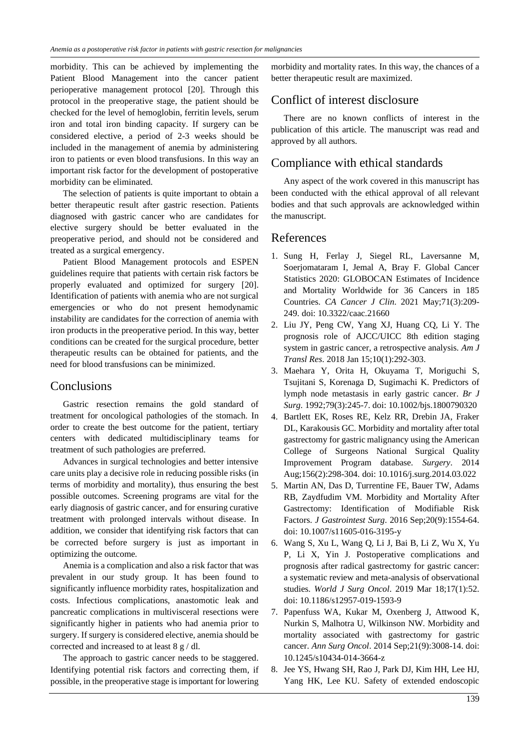morbidity. This can be achieved by implementing the Patient Blood Management into the cancer patient perioperative management protocol [20]. Through this protocol in the preoperative stage, the patient should be checked for the level of hemoglobin, ferritin levels, serum iron and total iron binding capacity. If surgery can be considered elective, a period of 2-3 weeks should be included in the management of anemia by administering iron to patients or even blood transfusions. In this way an important risk factor for the development of postoperative morbidity can be eliminated.

The selection of patients is quite important to obtain a better therapeutic result after gastric resection. Patients diagnosed with gastric cancer who are candidates for elective surgery should be better evaluated in the preoperative period, and should not be considered and treated as a surgical emergency.

Patient Blood Management protocols and ESPEN guidelines require that patients with certain risk factors be properly evaluated and optimized for surgery [20]. Identification of patients with anemia who are not surgical emergencies or who do not present hemodynamic instability are candidates for the correction of anemia with iron products in the preoperative period. In this way, better conditions can be created for the surgical procedure, better therapeutic results can be obtained for patients, and the need for blood transfusions can be minimized.

## **Conclusions**

Gastric resection remains the gold standard of treatment for oncological pathologies of the stomach. In order to create the best outcome for the patient, tertiary centers with dedicated multidisciplinary teams for treatment of such pathologies are preferred.

Advances in surgical technologies and better intensive care units play a decisive role in reducing possible risks (in terms of morbidity and mortality), thus ensuring the best possible outcomes. Screening programs are vital for the early diagnosis of gastric cancer, and for ensuring curative treatment with prolonged intervals without disease. In addition, we consider that identifying risk factors that can be corrected before surgery is just as important in optimizing the outcome.

Anemia is a complication and also a risk factor that was prevalent in our study group. It has been found to significantly influence morbidity rates, hospitalization and costs. Infectious complications, anastomotic leak and pancreatic complications in multivisceral resections were significantly higher in patients who had anemia prior to surgery. If surgery is considered elective, anemia should be corrected and increased to at least 8 g / dl.

The approach to gastric cancer needs to be staggered. Identifying potential risk factors and correcting them, if possible, in the preoperative stage is important for lowering

morbidity and mortality rates. In this way, the chances of a better therapeutic result are maximized.

## Conflict of interest disclosure

There are no known conflicts of interest in the publication of this article. The manuscript was read and approved by all authors.

## Compliance with ethical standards

Any aspect of the work covered in this manuscript has been conducted with the ethical approval of all relevant bodies and that such approvals are acknowledged within the manuscript.

## References

- 1. Sung H, Ferlay J, Siegel RL, Laversanne M, Soerjomataram I, Jemal A, Bray F. Global Cancer Statistics 2020: GLOBOCAN Estimates of Incidence and Mortality Worldwide for 36 Cancers in 185 Countries. *CA Cancer J Clin*. 2021 May;71(3):209- 249. doi: 10.3322/caac.21660
- 2. Liu JY, Peng CW, Yang XJ, Huang CQ, Li Y. The prognosis role of AJCC/UICC 8th edition staging system in gastric cancer, a retrospective analysis. *Am J Transl Res*. 2018 Jan 15;10(1):292-303.
- 3. Maehara Y, Orita H, Okuyama T, Moriguchi S, Tsujitani S, Korenaga D, Sugimachi K. Predictors of lymph node metastasis in early gastric cancer. *Br J Surg*. 1992;79(3):245-7. doi: 10.1002/bjs.1800790320
- 4. Bartlett EK, Roses RE, Kelz RR, Drebin JA, Fraker DL, Karakousis GC. Morbidity and mortality after total gastrectomy for gastric malignancy using the American College of Surgeons National Surgical Quality Improvement Program database. *Surgery*. 2014 Aug;156(2):298-304. doi: 10.1016/j.surg.2014.03.022
- 5. Martin AN, Das D, Turrentine FE, Bauer TW, Adams RB, Zaydfudim VM. Morbidity and Mortality After Gastrectomy: Identification of Modifiable Risk Factors. *J Gastrointest Surg*. 2016 Sep;20(9):1554-64. doi: 10.1007/s11605-016-3195-y
- 6. Wang S, Xu L, Wang Q, Li J, Bai B, Li Z, Wu X, Yu P, Li X, Yin J. Postoperative complications and prognosis after radical gastrectomy for gastric cancer: a systematic review and meta-analysis of observational studies. *World J Surg Oncol*. 2019 Mar 18;17(1):52. doi: 10.1186/s12957-019-1593-9
- 7. Papenfuss WA, Kukar M, Oxenberg J, Attwood K, Nurkin S, Malhotra U, Wilkinson NW. Morbidity and mortality associated with gastrectomy for gastric cancer. *Ann Surg Oncol*. 2014 Sep;21(9):3008-14. doi: 10.1245/s10434-014-3664-z
- 8. Jee YS, Hwang SH, Rao J, Park DJ, Kim HH, Lee HJ, Yang HK, Lee KU. Safety of extended endoscopic